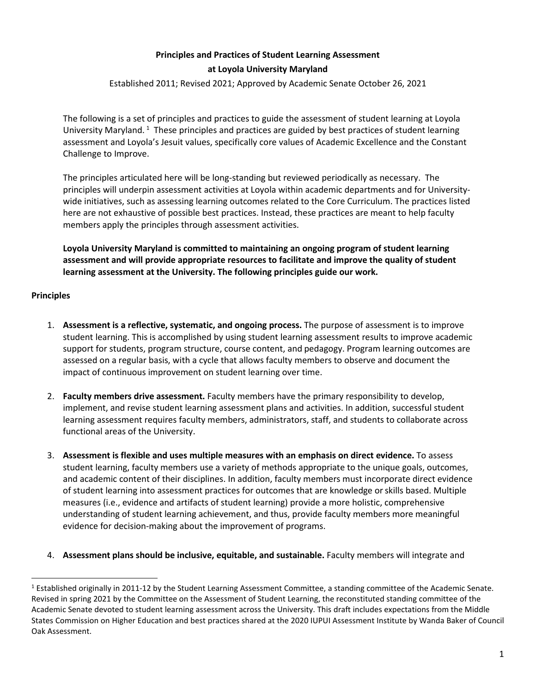# **Principles and Practices of Student Learning Assessment**

#### **at Loyola University Maryland**

Established 2011; Revised 2021; Approved by Academic Senate October 26, 2021

The following is a set of principles and practices to guide the assessment of student learning at Loyola University Maryland.<sup>[1](#page-0-0)</sup> These principles and practices are guided by best practices of student learning assessment and Loyola's Jesuit values, specifically core values of Academic Excellence and the Constant Challenge to Improve.

The principles articulated here will be long-standing but reviewed periodically as necessary. The principles will underpin assessment activities at Loyola within academic departments and for Universitywide initiatives, such as assessing learning outcomes related to the Core Curriculum. The practices listed here are not exhaustive of possible best practices. Instead, these practices are meant to help faculty members apply the principles through assessment activities.

**Loyola University Maryland is committed to maintaining an ongoing program of student learning assessment and will provide appropriate resources to facilitate and improve the quality of student learning assessment at the University. The following principles guide our work.** 

#### **Principles**

- 1. **Assessment is a reflective, systematic, and ongoing process.** The purpose of assessment is to improve student learning. This is accomplished by using student learning assessment results to improve academic support for students, program structure, course content, and pedagogy. Program learning outcomes are assessed on a regular basis, with a cycle that allows faculty members to observe and document the impact of continuous improvement on student learning over time.
- 2. **Faculty members drive assessment.** Faculty members have the primary responsibility to develop, implement, and revise student learning assessment plans and activities. In addition, successful student learning assessment requires faculty members, administrators, staff, and students to collaborate across functional areas of the University.
- 3. **Assessment is flexible and uses multiple measures with an emphasis on direct evidence.** To assess student learning, faculty members use a variety of methods appropriate to the unique goals, outcomes, and academic content of their disciplines. In addition, faculty members must incorporate direct evidence of student learning into assessment practices for outcomes that are knowledge orskills based. Multiple measures (i.e., evidence and artifacts of student learning) provide a more holistic, comprehensive understanding of student learning achievement, and thus, provide faculty members more meaningful evidence for decision-making about the improvement of programs.
- 4. **Assessment plans should be inclusive, equitable, and sustainable.** Faculty members will integrate and

<span id="page-0-0"></span> $1$  Established originally in 2011-12 by the Student Learning Assessment Committee, a standing committee of the Academic Senate. Revised in spring 2021 by the Committee on the Assessment of Student Learning, the reconstituted standing committee of the Academic Senate devoted to student learning assessment across the University. This draft includes expectations from the Middle States Commission on Higher Education and best practices shared at the 2020 IUPUI Assessment Institute by Wanda Baker of Council Oak Assessment.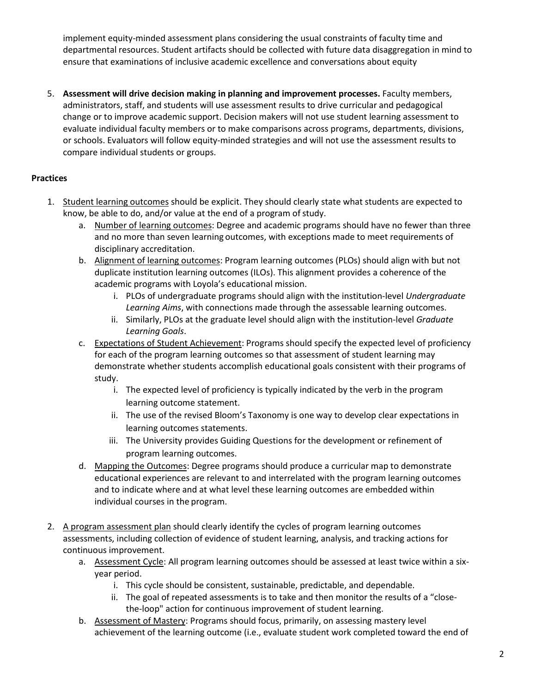implement equity-minded assessment plans considering the usual constraints of faculty time and departmental resources. Student artifacts should be collected with future data disaggregation in mind to ensure that examinations of inclusive academic excellence and conversations about equity

5. **Assessment will drive decision making in planning and improvement processes.** Faculty members, administrators, staff, and students will use assessment results to drive curricular and pedagogical change or to improve academic support. Decision makers will not use student learning assessment to evaluate individual faculty members or to make comparisons across programs, departments, divisions, or schools. Evaluators will follow equity-minded strategies and will not use the assessment results to compare individual students or groups.

## **Practices**

- 1. Student learning outcomes should be explicit. They should clearly state what students are expected to know, be able to do, and/or value at the end of a program of study.
	- a. Number of learning outcomes: Degree and academic programs should have no fewer than three and no more than seven learning outcomes, with exceptions made to meet requirements of disciplinary accreditation.
	- b. Alignment of learning outcomes: Program learning outcomes (PLOs) should align with but not duplicate institution learning outcomes (ILOs). This alignment provides a coherence of the academic programs with Loyola's educational mission.
		- i. PLOs of undergraduate programs should align with the institution-level *Undergraduate Learning Aims*, with connections made through the assessable learning outcomes.
		- ii. Similarly, PLOs at the graduate level should align with the institution-level *Graduate Learning Goals*.
	- c. Expectations of Student Achievement: Programs should specify the expected level of proficiency for each of the program learning outcomes so that assessment of student learning may demonstrate whether students accomplish educational goals consistent with their programs of study.
		- i. The expected level of proficiency is typically indicated by the verb in the program learning outcome statement.
		- ii. The use of the revised Bloom's Taxonomy is one way to develop clear expectations in learning outcomes statements.
		- iii. The University provides Guiding Questions for the development or refinement of program learning outcomes.
	- d. Mapping the Outcomes: Degree programs should produce a curricular map to demonstrate educational experiences are relevant to and interrelated with the program learning outcomes and to indicate where and at what level these learning outcomes are embedded within individual courses in the program.
- 2. A program assessment plan should clearly identify the cycles of program learning outcomes assessments, including collection of evidence of student learning, analysis, and tracking actions for continuous improvement.
	- a. Assessment Cycle: All program learning outcomes should be assessed at least twice within a sixyear period.
		- i. This cycle should be consistent, sustainable, predictable, and dependable.
		- ii. The goal of repeated assessments is to take and then monitor the results of a "closethe-loop" action for continuous improvement of student learning.
	- b. Assessment of Mastery: Programs should focus, primarily, on assessing mastery level achievement of the learning outcome (i.e., evaluate student work completed toward the end of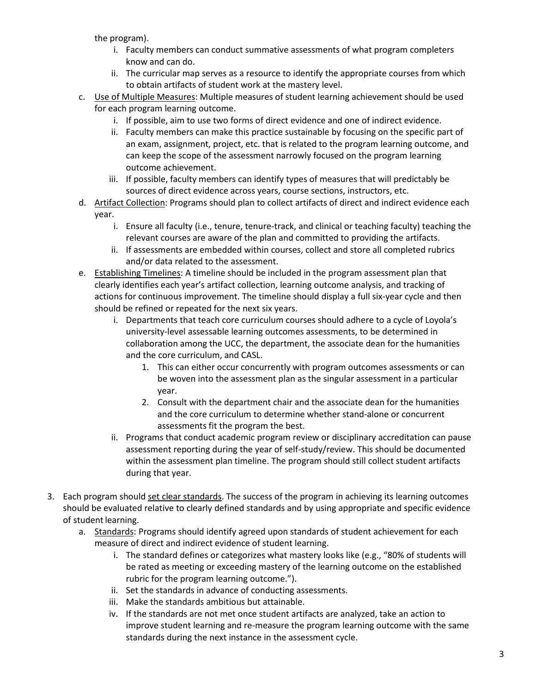the program).

- i. Faculty members can conduct summative assessments of what program completers know and can do.
- ii. The curricular map serves as a resource to identify the appropriate courses from which to obtain artifacts of student work at the mastery level.
- c. Use of Multiple Measures: Multiple measures of student learning achievement should be used for each program learning outcome.
	- i. If possible, aim to use two forms of direct evidence and one of indirect evidence.
	- ii. Faculty members can make this practice sustainable by focusing on the specific part of an exam, assignment, project, etc. that is related to the program learning outcome, and can keep the scope of the assessment narrowly focused on the program learning outcome achievement.
	- iii. If possible, faculty members can identify types of measures that will predictably be sources of direct evidence across years, course sections, instructors, etc.
- d. Artifact Collection: Programs should plan to collect artifacts of direct and indirect evidence each year.
	- i. Ensure all faculty (i.e., tenure, tenure-track, and clinical or teaching faculty) teaching the relevant courses are aware of the plan and committed to providing the artifacts.
	- ii. If assessments are embedded within courses, collect and store all completed rubrics and/or data related to the assessment.
- e. Establishing Timelines: A timeline should be included in the program assessment plan that clearly identifies each year's artifact collection, learning outcome analysis, and tracking of actions for continuous improvement. The timeline should display a full six-year cycle and then should be refined or repeated for the next six years.
	- i. Departments that teach core curriculum courses should adhere to a cycle of Loyola's university-level assessable learning outcomes assessments, to be determined in collaboration among the UCC, the department, the associate dean for the humanities and the core curriculum, and CASL.
		- 1. This can either occur concurrently with program outcomes assessments or can be woven into the assessment plan as the singular assessment in a particular year.
		- 2. Consult with the department chair and the associate dean for the humanities and the core curriculum to determine whether stand-alone or concurrent assessments fit the program the best.
	- ii. Programs that conduct academic program review or disciplinary accreditation can pause assessment reporting during the year of self-study/review. This should be documented within the assessment plan timeline. The program should still collect student artifacts during that year.
- 3. Each program should set clear standards. The success of the program in achieving its learning outcomes should be evaluated relative to clearly defined standards and by using appropriate and specific evidence of student learning.
	- a. Standards: Programs should identify agreed upon standards of student achievement for each measure of direct and indirect evidence of student learning.
		- i. The standard defines or categorizes what mastery looks like (e.g., "80% of students will be rated as meeting or exceeding mastery of the learning outcome on the established rubric for the program learning outcome.").
		- ii. Set the standards in advance of conducting assessments.
		- iii. Make the standards ambitious but attainable.
		- iv. If the standards are not met once student artifacts are analyzed, take an action to improve student learning and re-measure the program learning outcome with the same standards during the next instance in the assessment cycle.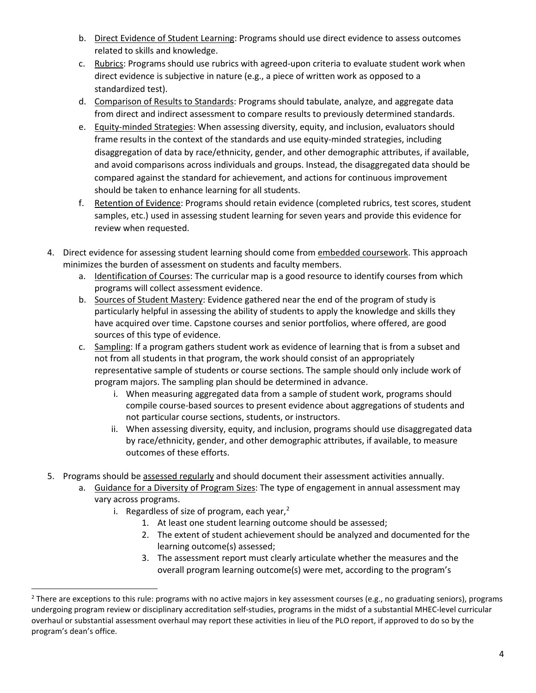- b. Direct Evidence of Student Learning: Programs should use direct evidence to assess outcomes related to skills and knowledge.
- c. Rubrics: Programs should use rubrics with agreed-upon criteria to evaluate student work when direct evidence is subjective in nature (e.g., a piece of written work as opposed to a standardized test).
- d. Comparison of Results to Standards: Programs should tabulate, analyze, and aggregate data from direct and indirect assessment to compare results to previously determined standards.
- e. Equity-minded Strategies: When assessing diversity, equity, and inclusion, evaluators should frame results in the context of the standards and use equity-minded strategies, including disaggregation of data by race/ethnicity, gender, and other demographic attributes, if available, and avoid comparisons across individuals and groups. Instead, the disaggregated data should be compared against the standard for achievement, and actions for continuous improvement should be taken to enhance learning for all students.
- f. Retention of Evidence: Programs should retain evidence (completed rubrics, test scores, student samples, etc.) used in assessing student learning for seven years and provide this evidence for review when requested.
- 4. Direct evidence for assessing student learning should come from embedded coursework. This approach minimizes the burden of assessment on students and faculty members.
	- a. Identification of Courses: The curricular map is a good resource to identify courses from which programs will collect assessment evidence.
	- b. Sources of Student Mastery: Evidence gathered near the end of the program of study is particularly helpful in assessing the ability of students to apply the knowledge and skills they have acquired over time. Capstone courses and senior portfolios, where offered, are good sources of this type of evidence.
	- c. Sampling: If a program gathers student work as evidence of learning that is from a subset and not from all students in that program, the work should consist of an appropriately representative sample of students or course sections. The sample should only include work of program majors. The sampling plan should be determined in advance.
		- i. When measuring aggregated data from a sample of student work, programs should compile course-based sources to present evidence about aggregations of students and not particular course sections, students, or instructors.
		- ii. When assessing diversity, equity, and inclusion, programs should use disaggregated data by race/ethnicity, gender, and other demographic attributes, if available, to measure outcomes of these efforts.
- 5. Programs should be assessed regularly and should document their assessment activities annually.
	- a. Guidance for a Diversity of Program Sizes: The type of engagement in annual assessment may vary across programs.
		- i. Regardless of size of program, each year, $<sup>2</sup>$  $<sup>2</sup>$  $<sup>2</sup>$ </sup>
			- 1. At least one student learning outcome should be assessed;
			- 2. The extent of student achievement should be analyzed and documented for the learning outcome(s) assessed;
			- 3. The assessment report must clearly articulate whether the measures and the overall program learning outcome(s) were met, according to the program's

<span id="page-3-0"></span> $2$  There are exceptions to this rule: programs with no active majors in key assessment courses (e.g., no graduating seniors), programs undergoing program review or disciplinary accreditation self-studies, programs in the midst of a substantial MHEC-level curricular overhaul or substantial assessment overhaul may report these activities in lieu of the PLO report, if approved to do so by the program's dean's office.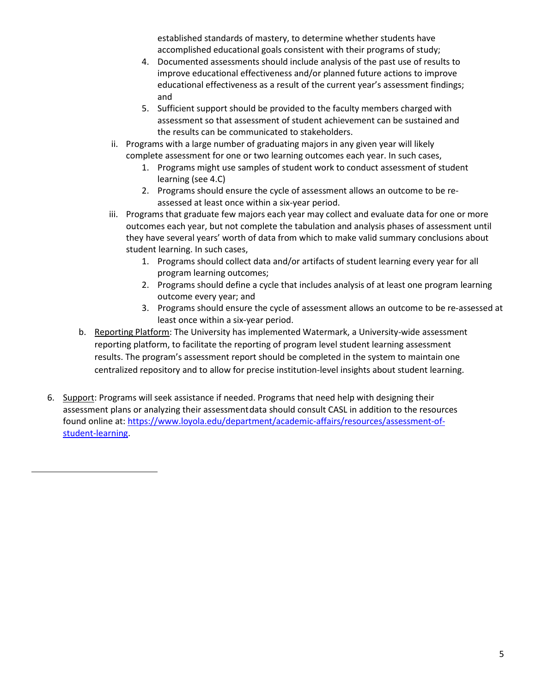established standards of mastery, to determine whether students have accomplished educational goals consistent with their programs of study;

- 4. Documented assessments should include analysis of the past use of results to improve educational effectiveness and/or planned future actions to improve educational effectiveness as a result of the current year's assessment findings; and
- 5. Sufficient support should be provided to the faculty members charged with assessment so that assessment of student achievement can be sustained and the results can be communicated to stakeholders.
- ii. Programs with a large number of graduating majors in any given year will likely complete assessment for one or two learning outcomes each year. In such cases,
	- 1. Programs might use samples of student work to conduct assessment of student learning (see 4.C)
	- 2. Programs should ensure the cycle of assessment allows an outcome to be reassessed at least once within a six-year period.
- iii. Programs that graduate few majors each year may collect and evaluate data for one or more outcomes each year, but not complete the tabulation and analysis phases of assessment until they have several years' worth of data from which to make valid summary conclusions about student learning. In such cases,
	- 1. Programs should collect data and/or artifacts of student learning every year for all program learning outcomes;
	- 2. Programs should define a cycle that includes analysis of at least one program learning outcome every year; and
	- 3. Programs should ensure the cycle of assessment allows an outcome to be re-assessed at least once within a six-year period.
- b. Reporting Platform: The University has implemented Watermark, a University-wide assessment reporting platform, to facilitate the reporting of program level student learning assessment results. The program's assessment report should be completed in the system to maintain one centralized repository and to allow for precise institution-level insights about student learning.
- 6. Support: Programs will seek assistance if needed. Programs that need help with designing their assessment plans or analyzing their assessmentdata should consult CASL in addition to the resources found online at[: https://www.loyola.edu/department/academic-affairs/resources/assessment-of](https://www.loyola.edu/department/academic-affairs/resources/assessment-of-student-learning)[student-learning.](https://www.loyola.edu/department/academic-affairs/resources/assessment-of-student-learning)